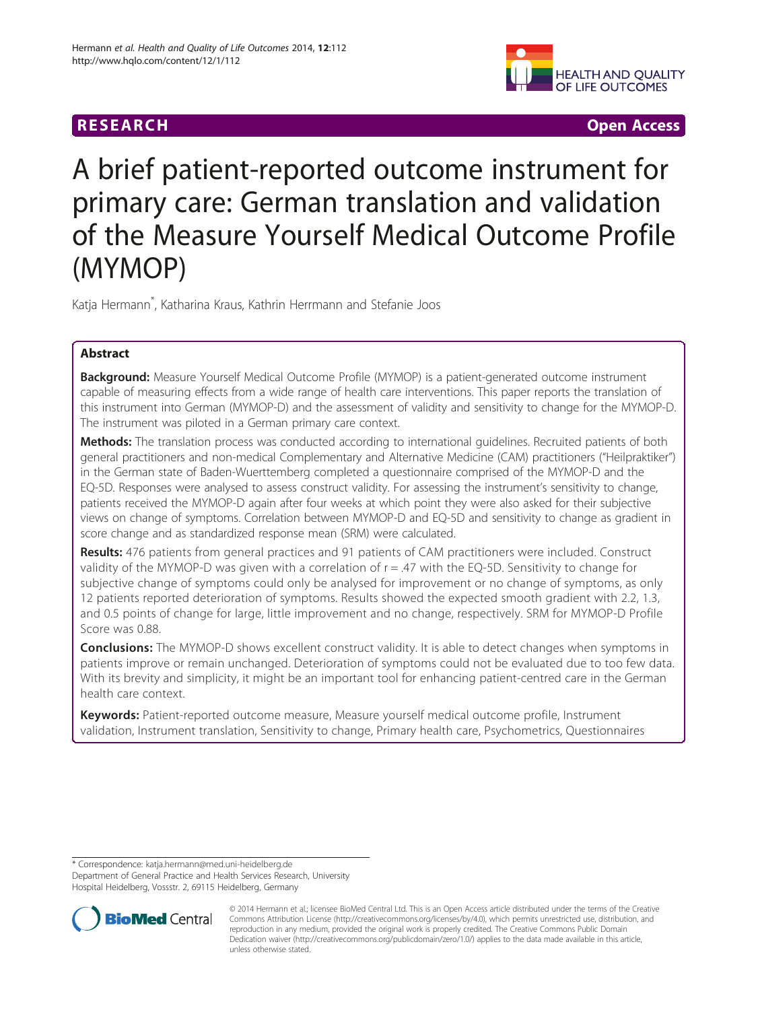# **RESEARCH RESEARCH** *CHECKER CHECKER CHECKER CHECKER CHECKER CHECKER CHECKER CHECKER CHECKER CHECKER CHECKER*



# A brief patient-reported outcome instrument for primary care: German translation and validation of the Measure Yourself Medical Outcome Profile (MYMOP)

Katja Hermann\* , Katharina Kraus, Kathrin Herrmann and Stefanie Joos

## Abstract

**Background:** Measure Yourself Medical Outcome Profile (MYMOP) is a patient-generated outcome instrument capable of measuring effects from a wide range of health care interventions. This paper reports the translation of this instrument into German (MYMOP-D) and the assessment of validity and sensitivity to change for the MYMOP-D. The instrument was piloted in a German primary care context.

Methods: The translation process was conducted according to international guidelines. Recruited patients of both general practitioners and non-medical Complementary and Alternative Medicine (CAM) practitioners ("Heilpraktiker") in the German state of Baden-Wuerttemberg completed a questionnaire comprised of the MYMOP-D and the EQ-5D. Responses were analysed to assess construct validity. For assessing the instrument's sensitivity to change, patients received the MYMOP-D again after four weeks at which point they were also asked for their subjective views on change of symptoms. Correlation between MYMOP-D and EQ-5D and sensitivity to change as gradient in score change and as standardized response mean (SRM) were calculated.

Results: 476 patients from general practices and 91 patients of CAM practitioners were included. Construct validity of the MYMOP-D was given with a correlation of  $r = .47$  with the EQ-5D. Sensitivity to change for subjective change of symptoms could only be analysed for improvement or no change of symptoms, as only 12 patients reported deterioration of symptoms. Results showed the expected smooth gradient with 2.2, 1.3, and 0.5 points of change for large, little improvement and no change, respectively. SRM for MYMOP-D Profile Score was 0.88.

**Conclusions:** The MYMOP-D shows excellent construct validity. It is able to detect changes when symptoms in patients improve or remain unchanged. Deterioration of symptoms could not be evaluated due to too few data. With its brevity and simplicity, it might be an important tool for enhancing patient-centred care in the German health care context.

Keywords: Patient-reported outcome measure, Measure yourself medical outcome profile, Instrument validation, Instrument translation, Sensitivity to change, Primary health care, Psychometrics, Questionnaires

\* Correspondence: [katja.hermann@med.uni-heidelberg.de](mailto:katja.hermann@med.uni-heidelberg.de)

Department of General Practice and Health Services Research, University Hospital Heidelberg, Vossstr. 2, 69115 Heidelberg, Germany



<sup>© 2014</sup> Hermann et al.; licensee BioMed Central Ltd. This is an Open Access article distributed under the terms of the Creative Commons Attribution License [\(http://creativecommons.org/licenses/by/4.0\)](http://creativecommons.org/licenses/by/4.0), which permits unrestricted use, distribution, and reproduction in any medium, provided the original work is properly credited. The Creative Commons Public Domain Dedication waiver [\(http://creativecommons.org/publicdomain/zero/1.0/](http://creativecommons.org/publicdomain/zero/1.0/)) applies to the data made available in this article, unless otherwise stated.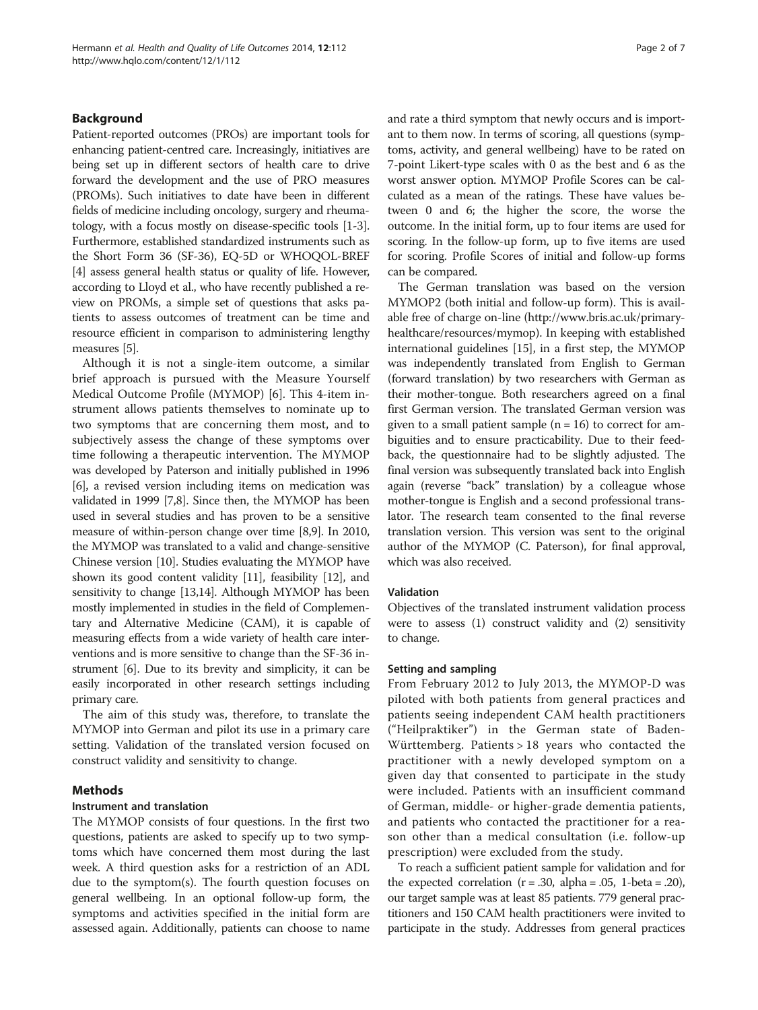## Background

Patient-reported outcomes (PROs) are important tools for enhancing patient-centred care. Increasingly, initiatives are being set up in different sectors of health care to drive forward the development and the use of PRO measures (PROMs). Such initiatives to date have been in different fields of medicine including oncology, surgery and rheumatology, with a focus mostly on disease-specific tools [\[1](#page-5-0)-[3](#page-5-0)]. Furthermore, established standardized instruments such as the Short Form 36 (SF-36), EQ-5D or WHOQOL-BREF [[4](#page-5-0)] assess general health status or quality of life. However, according to Lloyd et al., who have recently published a review on PROMs, a simple set of questions that asks patients to assess outcomes of treatment can be time and resource efficient in comparison to administering lengthy measures [\[5\]](#page-5-0).

Although it is not a single-item outcome, a similar brief approach is pursued with the Measure Yourself Medical Outcome Profile (MYMOP) [\[6](#page-5-0)]. This 4-item instrument allows patients themselves to nominate up to two symptoms that are concerning them most, and to subjectively assess the change of these symptoms over time following a therapeutic intervention. The MYMOP was developed by Paterson and initially published in 1996 [[6](#page-5-0)], a revised version including items on medication was validated in 1999 [[7,8](#page-5-0)]. Since then, the MYMOP has been used in several studies and has proven to be a sensitive measure of within-person change over time [[8,9](#page-5-0)]. In 2010, the MYMOP was translated to a valid and change-sensitive Chinese version [[10](#page-5-0)]. Studies evaluating the MYMOP have shown its good content validity [\[11](#page-5-0)], feasibility [\[12](#page-5-0)], and sensitivity to change [[13,14\]](#page-5-0). Although MYMOP has been mostly implemented in studies in the field of Complementary and Alternative Medicine (CAM), it is capable of measuring effects from a wide variety of health care interventions and is more sensitive to change than the SF-36 instrument [[6\]](#page-5-0). Due to its brevity and simplicity, it can be easily incorporated in other research settings including primary care.

The aim of this study was, therefore, to translate the MYMOP into German and pilot its use in a primary care setting. Validation of the translated version focused on construct validity and sensitivity to change.

## Methods

#### Instrument and translation

The MYMOP consists of four questions. In the first two questions, patients are asked to specify up to two symptoms which have concerned them most during the last week. A third question asks for a restriction of an ADL due to the symptom(s). The fourth question focuses on general wellbeing. In an optional follow-up form, the symptoms and activities specified in the initial form are assessed again. Additionally, patients can choose to name and rate a third symptom that newly occurs and is important to them now. In terms of scoring, all questions (symptoms, activity, and general wellbeing) have to be rated on 7-point Likert-type scales with 0 as the best and 6 as the worst answer option. MYMOP Profile Scores can be calculated as a mean of the ratings. These have values between 0 and 6; the higher the score, the worse the outcome. In the initial form, up to four items are used for scoring. In the follow-up form, up to five items are used for scoring. Profile Scores of initial and follow-up forms can be compared.

The German translation was based on the version MYMOP2 (both initial and follow-up form). This is available free of charge on-line ([http://www.bris.ac.uk/primary](http://www.bris.ac.uk/primaryhealthcare/resources/mymop)[healthcare/resources/mymop\)](http://www.bris.ac.uk/primaryhealthcare/resources/mymop). In keeping with established international guidelines [\[15\]](#page-5-0), in a first step, the MYMOP was independently translated from English to German (forward translation) by two researchers with German as their mother-tongue. Both researchers agreed on a final first German version. The translated German version was given to a small patient sample  $(n = 16)$  to correct for ambiguities and to ensure practicability. Due to their feedback, the questionnaire had to be slightly adjusted. The final version was subsequently translated back into English again (reverse "back" translation) by a colleague whose mother-tongue is English and a second professional translator. The research team consented to the final reverse translation version. This version was sent to the original author of the MYMOP (C. Paterson), for final approval, which was also received.

#### Validation

Objectives of the translated instrument validation process were to assess (1) construct validity and (2) sensitivity to change.

#### Setting and sampling

From February 2012 to July 2013, the MYMOP-D was piloted with both patients from general practices and patients seeing independent CAM health practitioners ("Heilpraktiker") in the German state of Baden-Württemberg. Patients > 18 years who contacted the practitioner with a newly developed symptom on a given day that consented to participate in the study were included. Patients with an insufficient command of German, middle- or higher-grade dementia patients, and patients who contacted the practitioner for a reason other than a medical consultation (i.e. follow-up prescription) were excluded from the study.

To reach a sufficient patient sample for validation and for the expected correlation  $(r = .30, \text{ alpha} = .05, \text{ 1-beta} = .20)$ , our target sample was at least 85 patients. 779 general practitioners and 150 CAM health practitioners were invited to participate in the study. Addresses from general practices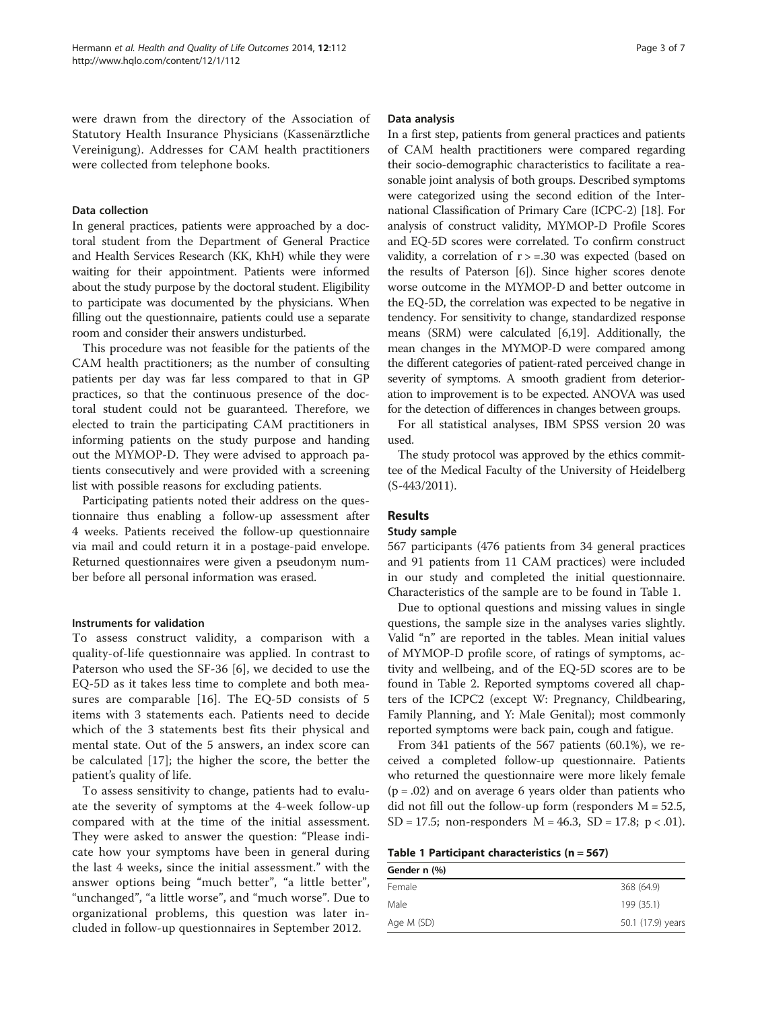were drawn from the directory of the Association of Statutory Health Insurance Physicians (Kassenärztliche Vereinigung). Addresses for CAM health practitioners were collected from telephone books.

#### Data collection

In general practices, patients were approached by a doctoral student from the Department of General Practice and Health Services Research (KK, KhH) while they were waiting for their appointment. Patients were informed about the study purpose by the doctoral student. Eligibility to participate was documented by the physicians. When filling out the questionnaire, patients could use a separate room and consider their answers undisturbed.

This procedure was not feasible for the patients of the CAM health practitioners; as the number of consulting patients per day was far less compared to that in GP practices, so that the continuous presence of the doctoral student could not be guaranteed. Therefore, we elected to train the participating CAM practitioners in informing patients on the study purpose and handing out the MYMOP-D. They were advised to approach patients consecutively and were provided with a screening list with possible reasons for excluding patients.

Participating patients noted their address on the questionnaire thus enabling a follow-up assessment after 4 weeks. Patients received the follow-up questionnaire via mail and could return it in a postage-paid envelope. Returned questionnaires were given a pseudonym number before all personal information was erased.

#### Instruments for validation

To assess construct validity, a comparison with a quality-of-life questionnaire was applied. In contrast to Paterson who used the SF-36 [[6\]](#page-5-0), we decided to use the EQ-5D as it takes less time to complete and both measures are comparable [[16\]](#page-5-0). The EQ-5D consists of 5 items with 3 statements each. Patients need to decide which of the 3 statements best fits their physical and mental state. Out of the 5 answers, an index score can be calculated [[17](#page-5-0)]; the higher the score, the better the patient's quality of life.

To assess sensitivity to change, patients had to evaluate the severity of symptoms at the 4-week follow-up compared with at the time of the initial assessment. They were asked to answer the question: "Please indicate how your symptoms have been in general during the last 4 weeks, since the initial assessment." with the answer options being "much better", "a little better", "unchanged", "a little worse", and "much worse". Due to organizational problems, this question was later included in follow-up questionnaires in September 2012.

#### Data analysis

In a first step, patients from general practices and patients of CAM health practitioners were compared regarding their socio-demographic characteristics to facilitate a reasonable joint analysis of both groups. Described symptoms were categorized using the second edition of the International Classification of Primary Care (ICPC-2) [[18](#page-5-0)]. For analysis of construct validity, MYMOP-D Profile Scores and EQ-5D scores were correlated. To confirm construct validity, a correlation of  $r$  > =.30 was expected (based on the results of Paterson [\[6\]](#page-5-0)). Since higher scores denote worse outcome in the MYMOP-D and better outcome in the EQ-5D, the correlation was expected to be negative in tendency. For sensitivity to change, standardized response means (SRM) were calculated [[6,19](#page-5-0)]. Additionally, the mean changes in the MYMOP-D were compared among the different categories of patient-rated perceived change in severity of symptoms. A smooth gradient from deterioration to improvement is to be expected. ANOVA was used for the detection of differences in changes between groups.

For all statistical analyses, IBM SPSS version 20 was used.

The study protocol was approved by the ethics committee of the Medical Faculty of the University of Heidelberg (S-443/2011).

## Results

## Study sample

567 participants (476 patients from 34 general practices and 91 patients from 11 CAM practices) were included in our study and completed the initial questionnaire. Characteristics of the sample are to be found in Table 1.

Due to optional questions and missing values in single questions, the sample size in the analyses varies slightly. Valid "n" are reported in the tables. Mean initial values of MYMOP-D profile score, of ratings of symptoms, activity and wellbeing, and of the EQ-5D scores are to be found in Table [2.](#page-3-0) Reported symptoms covered all chapters of the ICPC2 (except W: Pregnancy, Childbearing, Family Planning, and Y: Male Genital); most commonly reported symptoms were back pain, cough and fatigue.

From 341 patients of the 567 patients (60.1%), we received a completed follow-up questionnaire. Patients who returned the questionnaire were more likely female  $(p = .02)$  and on average 6 years older than patients who did not fill out the follow-up form (responders  $M = 52.5$ , SD = 17.5; non-responders  $M = 46.3$ , SD = 17.8; p < .01).

|  |  | Table 1 Participant characteristics ( $n = 567$ ) |  |
|--|--|---------------------------------------------------|--|
|--|--|---------------------------------------------------|--|

| Gender n (%) |                   |
|--------------|-------------------|
| Female       | 368 (64.9)        |
| Male         | 199 (35.1)        |
| Age M (SD)   | 50.1 (17.9) years |
|              |                   |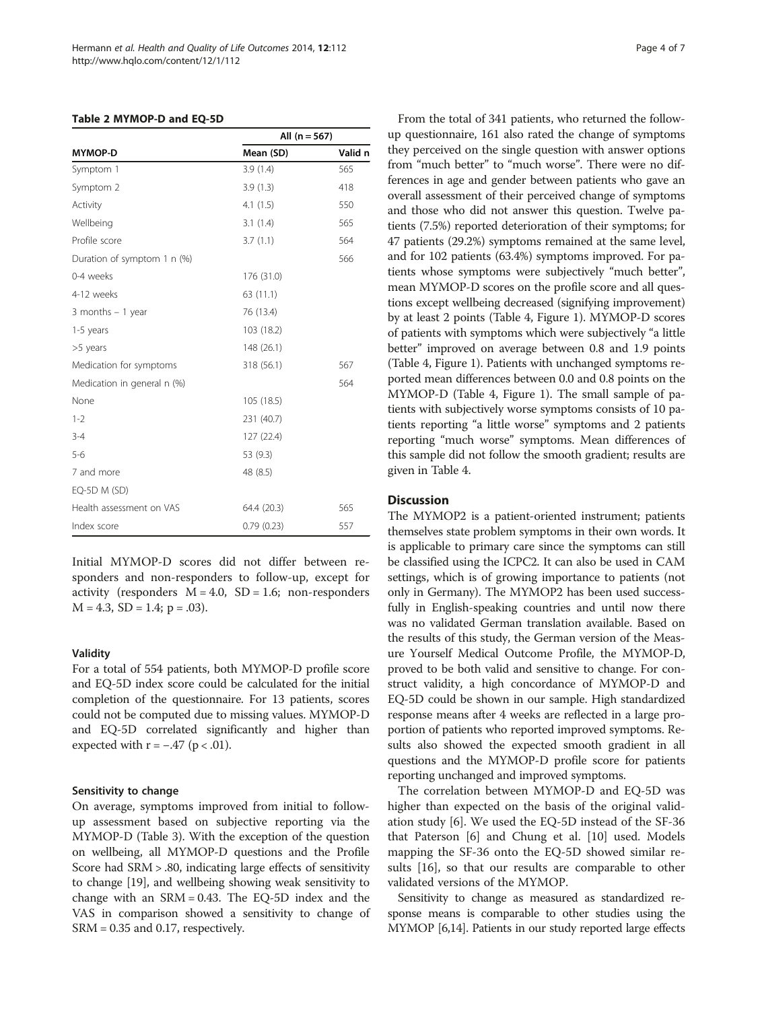#### <span id="page-3-0"></span>Table 2 MYMOP-D and EQ-5D

|                             | All $(n = 567)$ |         |  |  |
|-----------------------------|-----------------|---------|--|--|
| <b>MYMOP-D</b>              | Mean (SD)       | Valid n |  |  |
| Symptom 1                   | 3.9(1.4)        | 565     |  |  |
| Symptom 2                   | 3.9(1.3)        | 418     |  |  |
| Activity                    | 4.1(1.5)        | 550     |  |  |
| Wellbeing                   | 3.1(1.4)        | 565     |  |  |
| Profile score               | 3.7(1.1)        | 564     |  |  |
| Duration of symptom 1 n (%) |                 | 566     |  |  |
| 0-4 weeks                   | 176 (31.0)      |         |  |  |
| 4-12 weeks                  | 63 (11.1)       |         |  |  |
| 3 months $-1$ year          | 76 (13.4)       |         |  |  |
| 1-5 years                   | 103 (18.2)      |         |  |  |
| >5 years                    | 148 (26.1)      |         |  |  |
| Medication for symptoms     | 318 (56.1)      | 567     |  |  |
| Medication in general n (%) |                 | 564     |  |  |
| None                        | 105 (18.5)      |         |  |  |
| $1 - 2$                     | 231 (40.7)      |         |  |  |
| $3 - 4$                     | 127 (22.4)      |         |  |  |
| $5 - 6$                     | 53 (9.3)        |         |  |  |
| 7 and more                  | 48 (8.5)        |         |  |  |
| EQ-5D M (SD)                |                 |         |  |  |
| Health assessment on VAS    | 64.4 (20.3)     | 565     |  |  |
| Index score                 | 0.79(0.23)      | 557     |  |  |

Initial MYMOP-D scores did not differ between responders and non-responders to follow-up, except for activity (responders  $M = 4.0$ ,  $SD = 1.6$ ; non-responders  $M = 4.3$ ,  $SD = 1.4$ ;  $p = .03$ ).

## Validity

For a total of 554 patients, both MYMOP-D profile score and EQ-5D index score could be calculated for the initial completion of the questionnaire. For 13 patients, scores could not be computed due to missing values. MYMOP-D and EQ-5D correlated significantly and higher than expected with  $r = -.47$  ( $p < .01$ ).

#### Sensitivity to change

On average, symptoms improved from initial to followup assessment based on subjective reporting via the MYMOP-D (Table [3](#page-4-0)). With the exception of the question on wellbeing, all MYMOP-D questions and the Profile Score had SRM > .80, indicating large effects of sensitivity to change [[19](#page-5-0)], and wellbeing showing weak sensitivity to change with an SRM = 0.43. The EQ-5D index and the VAS in comparison showed a sensitivity to change of SRM = 0.35 and 0.17, respectively.

From the total of 341 patients, who returned the followup questionnaire, 161 also rated the change of symptoms they perceived on the single question with answer options from "much better" to "much worse". There were no differences in age and gender between patients who gave an overall assessment of their perceived change of symptoms and those who did not answer this question. Twelve patients (7.5%) reported deterioration of their symptoms; for 47 patients (29.2%) symptoms remained at the same level, and for 102 patients (63.4%) symptoms improved. For patients whose symptoms were subjectively "much better", mean MYMOP-D scores on the profile score and all questions except wellbeing decreased (signifying improvement) by at least 2 points (Table [4](#page-4-0), Figure [1](#page-4-0)). MYMOP-D scores of patients with symptoms which were subjectively "a little better" improved on average between 0.8 and 1.9 points (Table [4](#page-4-0), Figure [1](#page-4-0)). Patients with unchanged symptoms reported mean differences between 0.0 and 0.8 points on the MYMOP-D (Table [4](#page-4-0), Figure [1\)](#page-4-0). The small sample of patients with subjectively worse symptoms consists of 10 patients reporting "a little worse" symptoms and 2 patients reporting "much worse" symptoms. Mean differences of this sample did not follow the smooth gradient; results are given in Table [4](#page-4-0).

## **Discussion**

The MYMOP2 is a patient-oriented instrument; patients themselves state problem symptoms in their own words. It is applicable to primary care since the symptoms can still be classified using the ICPC2. It can also be used in CAM settings, which is of growing importance to patients (not only in Germany). The MYMOP2 has been used successfully in English-speaking countries and until now there was no validated German translation available. Based on the results of this study, the German version of the Measure Yourself Medical Outcome Profile, the MYMOP-D, proved to be both valid and sensitive to change. For construct validity, a high concordance of MYMOP-D and EQ-5D could be shown in our sample. High standardized response means after 4 weeks are reflected in a large proportion of patients who reported improved symptoms. Results also showed the expected smooth gradient in all questions and the MYMOP-D profile score for patients reporting unchanged and improved symptoms.

The correlation between MYMOP-D and EQ-5D was higher than expected on the basis of the original validation study [\[6](#page-5-0)]. We used the EQ-5D instead of the SF-36 that Paterson [\[6](#page-5-0)] and Chung et al. [[10](#page-5-0)] used. Models mapping the SF-36 onto the EQ-5D showed similar results [\[16\]](#page-5-0), so that our results are comparable to other validated versions of the MYMOP.

Sensitivity to change as measured as standardized response means is comparable to other studies using the MYMOP [\[6,14](#page-5-0)]. Patients in our study reported large effects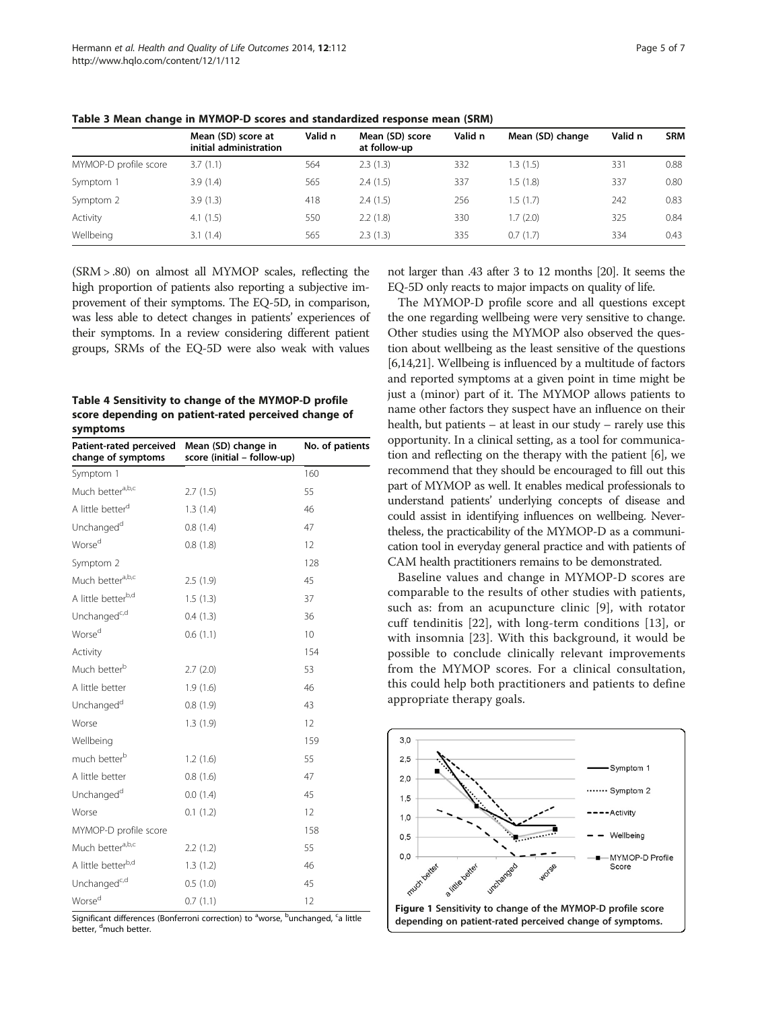|                       | Mean (SD) score at<br>initial administration | Valid n | Mean (SD) score<br>at follow-up | Valid n | Mean (SD) change | Valid n | <b>SRM</b> |
|-----------------------|----------------------------------------------|---------|---------------------------------|---------|------------------|---------|------------|
| MYMOP-D profile score | 3.7(1.1)                                     | 564     | 2.3(1.3)                        | 332     | .3(1.5)          | 331     | 0.88       |
| Symptom 1             | 3.9(1.4)                                     | 565     | 2.4(1.5)                        | 337     | 1.5(1.8)         | 337     | 0.80       |
| Symptom 2             | 3.9(1.3)                                     | 418     | 2.4(1.5)                        | 256     | .5(1.7)          | 242     | 0.83       |
| Activity              | 4.1(1.5)                                     | 550     | 2.2(1.8)                        | 330     | .7(2.0)          | 325     | 0.84       |
| Wellbeing             | 3.1(1.4)                                     | 565     | 2.3(1.3)                        | 335     | 0.7(1.7)         | 334     | 0.43       |

<span id="page-4-0"></span>Table 3 Mean change in MYMOP-D scores and standardized response mean (SRM)

(SRM > .80) on almost all MYMOP scales, reflecting the high proportion of patients also reporting a subjective improvement of their symptoms. The EQ-5D, in comparison, was less able to detect changes in patients' experiences of their symptoms. In a review considering different patient groups, SRMs of the EQ-5D were also weak with values

Table 4 Sensitivity to change of the MYMOP-D profile score depending on patient-rated perceived change of symptoms

| Patient-rated perceived<br>change of symptoms | Mean (SD) change in<br>score (initial - follow-up) | No. of patients |  |
|-----------------------------------------------|----------------------------------------------------|-----------------|--|
| Symptom 1                                     |                                                    | 160             |  |
| Much better <sup>a,b,c</sup>                  | 2.7(1.5)                                           | 55              |  |
| A little better <sup>d</sup>                  | 1.3(1.4)                                           | 46              |  |
| Unchanged <sup>d</sup>                        | 0.8(1.4)                                           | 47              |  |
| Worse <sup>d</sup>                            | 0.8(1.8)                                           | 12              |  |
| Symptom 2                                     |                                                    | 128             |  |
| Much bettera,b,c                              | 2.5(1.9)                                           | 45              |  |
| A little betterb,d                            | 1.5(1.3)                                           | 37              |  |
| Unchanged <sup>c,d</sup>                      | 0.4(1.3)                                           | 36              |  |
| Worse <sup>d</sup>                            | 0.6(1.1)                                           | 10              |  |
| Activity                                      |                                                    | 154             |  |
| Much better <sup>b</sup>                      | 2.7(2.0)                                           | 53              |  |
| A little better                               | 1.9(1.6)                                           | 46              |  |
| Unchanged <sup>d</sup>                        | 0.8(1.9)                                           | 43              |  |
| Worse                                         | 1.3(1.9)                                           | 12              |  |
| Wellbeing                                     |                                                    | 159             |  |
| much better <sup>b</sup>                      | 1.2(1.6)                                           | 55              |  |
| A little better                               | 0.8(1.6)                                           | 47              |  |
| Unchanged <sup>d</sup>                        | 0.0(1.4)                                           | 45              |  |
| Worse                                         | 0.1(1.2)                                           | 12              |  |
| MYMOP-D profile score                         |                                                    | 158             |  |
| Much bettera,b,c                              | 2.2(1.2)                                           | 55              |  |
| A little better <sup>b,d</sup>                | 1.3(1.2)                                           | 46              |  |
| Unchanged <sup>c,d</sup>                      | 0.5(1.0)                                           | 45              |  |
| Worse <sup>d</sup>                            | 0.7(1.1)                                           | 12              |  |

Significant differences (Bonferroni correction) to <sup>a</sup>worse, <sup>b</sup>unchanged, <sup>c</sup>a little better, <sup>d</sup>much better.

not larger than .43 after 3 to 12 months [[20](#page-5-0)]. It seems the EQ-5D only reacts to major impacts on quality of life.

The MYMOP-D profile score and all questions except the one regarding wellbeing were very sensitive to change. Other studies using the MYMOP also observed the question about wellbeing as the least sensitive of the questions [[6,14,21\]](#page-5-0). Wellbeing is influenced by a multitude of factors and reported symptoms at a given point in time might be just a (minor) part of it. The MYMOP allows patients to name other factors they suspect have an influence on their health, but patients – at least in our study – rarely use this opportunity. In a clinical setting, as a tool for communication and reflecting on the therapy with the patient [\[6](#page-5-0)], we recommend that they should be encouraged to fill out this part of MYMOP as well. It enables medical professionals to understand patients' underlying concepts of disease and could assist in identifying influences on wellbeing. Nevertheless, the practicability of the MYMOP-D as a communication tool in everyday general practice and with patients of CAM health practitioners remains to be demonstrated.

Baseline values and change in MYMOP-D scores are comparable to the results of other studies with patients, such as: from an acupuncture clinic [\[9](#page-5-0)], with rotator cuff tendinitis [\[22](#page-6-0)], with long-term conditions [[13](#page-5-0)], or with insomnia [[23\]](#page-6-0). With this background, it would be possible to conclude clinically relevant improvements from the MYMOP scores. For a clinical consultation, this could help both practitioners and patients to define appropriate therapy goals.

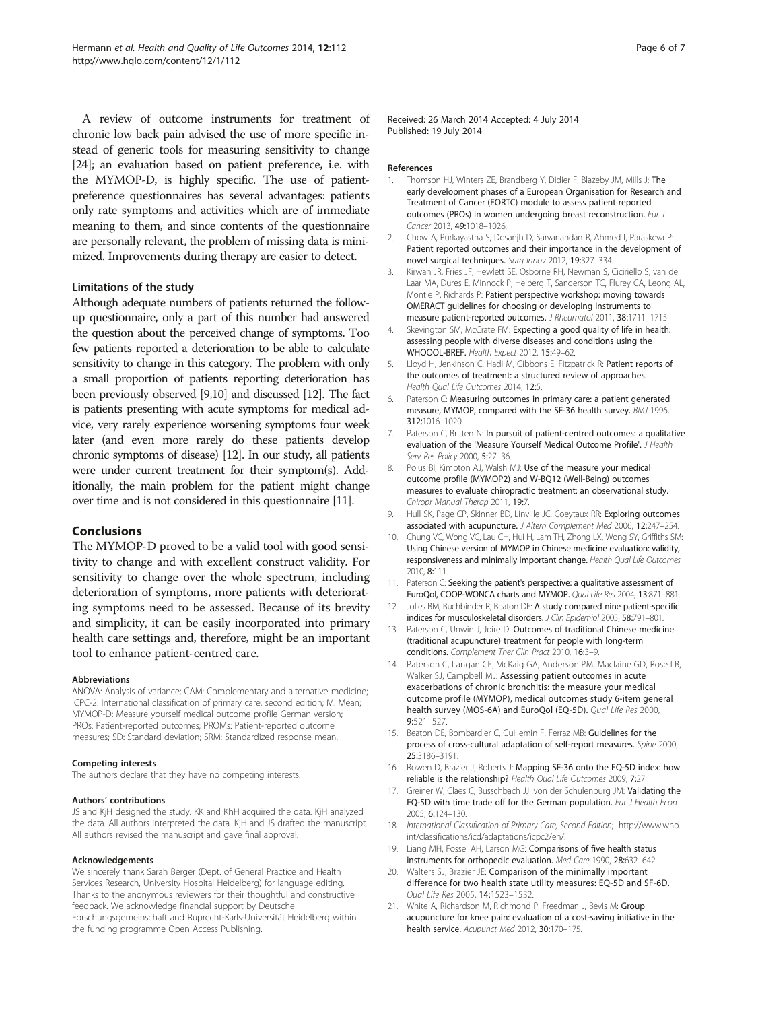<span id="page-5-0"></span>A review of outcome instruments for treatment of chronic low back pain advised the use of more specific instead of generic tools for measuring sensitivity to change [[24](#page-6-0)]; an evaluation based on patient preference, i.e. with the MYMOP-D, is highly specific. The use of patientpreference questionnaires has several advantages: patients only rate symptoms and activities which are of immediate meaning to them, and since contents of the questionnaire are personally relevant, the problem of missing data is minimized. Improvements during therapy are easier to detect.

## Limitations of the study

Although adequate numbers of patients returned the followup questionnaire, only a part of this number had answered the question about the perceived change of symptoms. Too few patients reported a deterioration to be able to calculate sensitivity to change in this category. The problem with only a small proportion of patients reporting deterioration has been previously observed [9,10] and discussed [12]. The fact is patients presenting with acute symptoms for medical advice, very rarely experience worsening symptoms four week later (and even more rarely do these patients develop chronic symptoms of disease) [12]. In our study, all patients were under current treatment for their symptom(s). Additionally, the main problem for the patient might change over time and is not considered in this questionnaire [11].

## Conclusions

The MYMOP-D proved to be a valid tool with good sensitivity to change and with excellent construct validity. For sensitivity to change over the whole spectrum, including deterioration of symptoms, more patients with deteriorating symptoms need to be assessed. Because of its brevity and simplicity, it can be easily incorporated into primary health care settings and, therefore, might be an important tool to enhance patient-centred care.

#### Abbreviations

ANOVA: Analysis of variance; CAM: Complementary and alternative medicine; ICPC-2: International classification of primary care, second edition; M: Mean; MYMOP-D: Measure yourself medical outcome profile German version; PROs: Patient-reported outcomes; PROMs: Patient-reported outcome measures; SD: Standard deviation; SRM: Standardized response mean.

#### Competing interests

The authors declare that they have no competing interests.

#### Authors' contributions

JS and KjH designed the study. KK and KhH acquired the data. KjH analyzed the data. All authors interpreted the data. KjH and JS drafted the manuscript. All authors revised the manuscript and gave final approval.

#### Acknowledgements

We sincerely thank Sarah Berger (Dept. of General Practice and Health Services Research, University Hospital Heidelberg) for language editing. Thanks to the anonymous reviewers for their thoughtful and constructive feedback. We acknowledge financial support by Deutsche Forschungsgemeinschaft and Ruprecht-Karls-Universität Heidelberg within the funding programme Open Access Publishing.

Received: 26 March 2014 Accepted: 4 July 2014 Published: 19 July 2014

#### References

- 1. Thomson HJ, Winters ZE, Brandberg Y, Didier F, Blazeby JM, Mills J: The early development phases of a European Organisation for Research and Treatment of Cancer (EORTC) module to assess patient reported outcomes (PROs) in women undergoing breast reconstruction. Eur J Cancer 2013, 49:1018–1026.
- 2. Chow A, Purkayastha S, Dosanjh D, Sarvanandan R, Ahmed I, Paraskeva P: Patient reported outcomes and their importance in the development of novel surgical techniques. Surg Innov 2012, 19:327-334.
- 3. Kirwan JR, Fries JF, Hewlett SE, Osborne RH, Newman S, Ciciriello S, van de Laar MA, Dures E, Minnock P, Heiberg T, Sanderson TC, Flurey CA, Leong AL, Montie P, Richards P: Patient perspective workshop: moving towards OMERACT guidelines for choosing or developing instruments to measure patient-reported outcomes. J Rheumatol 2011, 38:1711–1715.
- 4. Skevington SM, McCrate FM: Expecting a good quality of life in health: assessing people with diverse diseases and conditions using the WHOQOL-BREF. Health Expect 2012, 15:49–62.
- 5. Lloyd H, Jenkinson C, Hadi M, Gibbons E, Fitzpatrick R: Patient reports of the outcomes of treatment: a structured review of approaches. Health Qual Life Outcomes 2014, 12:5.
- 6. Paterson C: Measuring outcomes in primary care: a patient generated measure, MYMOP, compared with the SF-36 health survey. BMJ 1996, 312:1016–1020.
- 7. Paterson C, Britten N: In pursuit of patient-centred outcomes: a qualitative evaluation of the 'Measure Yourself Medical Outcome Profile'. J Health Serv Res Policy 2000, 5:27-36.
- 8. Polus BI, Kimpton AJ, Walsh MJ: Use of the measure your medical outcome profile (MYMOP2) and W-BQ12 (Well-Being) outcomes measures to evaluate chiropractic treatment: an observational study. Chiropr Manual Therap 2011, 19:7.
- 9. Hull SK, Page CP, Skinner BD, Linville JC, Coeytaux RR: Exploring outcomes associated with acupuncture. J Altern Complement Med 2006, 12:247–254.
- 10. Chung VC, Wong VC, Lau CH, Hui H, Lam TH, Zhong LX, Wong SY, Griffiths SM: Using Chinese version of MYMOP in Chinese medicine evaluation: validity, responsiveness and minimally important change. Health Qual Life Outcomes 2010, 8:111.
- 11. Paterson C: Seeking the patient's perspective: a qualitative assessment of EuroQol, COOP-WONCA charts and MYMOP. Qual Life Res 2004, 13:871–881.
- 12. Jolles BM, Buchbinder R, Beaton DE: A study compared nine patient-specific indices for musculoskeletal disorders. J Clin Epidemiol 2005, 58:791–801.
- 13. Paterson C, Unwin J, Joire D: Outcomes of traditional Chinese medicine (traditional acupuncture) treatment for people with long-term conditions. Complement Ther Clin Pract 2010, 16:3–9.
- 14. Paterson C, Langan CE, McKaig GA, Anderson PM, Maclaine GD, Rose LB, Walker SJ, Campbell MJ: Assessing patient outcomes in acute exacerbations of chronic bronchitis: the measure your medical outcome profile (MYMOP), medical outcomes study 6-item general health survey (MOS-6A) and EuroQol (EQ-5D). Qual Life Res 2000, 9:521–527.
- 15. Beaton DE, Bombardier C, Guillemin F, Ferraz MB: Guidelines for the process of cross-cultural adaptation of self-report measures. Spine 2000, 25:3186–3191.
- 16. Rowen D, Brazier J, Roberts J: Mapping SF-36 onto the EQ-5D index: how reliable is the relationship? Health Qual Life Outcomes 2009, 7:27.
- 17. Greiner W, Claes C, Busschbach JJ, von der Schulenburg JM: Validating the EQ-5D with time trade off for the German population. Eur J Health Econ 2005, 6:124–130.
- 18. International Classification of Primary Care, Second Edition; [http://www.who.](http://www.who.int/classifications/icd/adaptations/icpc2/en/) [int/classifications/icd/adaptations/icpc2/en/.](http://www.who.int/classifications/icd/adaptations/icpc2/en/)
- 19. Liang MH, Fossel AH, Larson MG: Comparisons of five health status instruments for orthopedic evaluation. Med Care 1990, 28:632–642.
- 20. Walters SJ, Brazier JE: Comparison of the minimally important difference for two health state utility measures: EQ-5D and SF-6D. Qual Life Res 2005, 14:1523–1532.
- 21. White A, Richardson M, Richmond P, Freedman J, Bevis M: Group acupuncture for knee pain: evaluation of a cost-saving initiative in the health service. Acupunct Med 2012, 30:170–175.